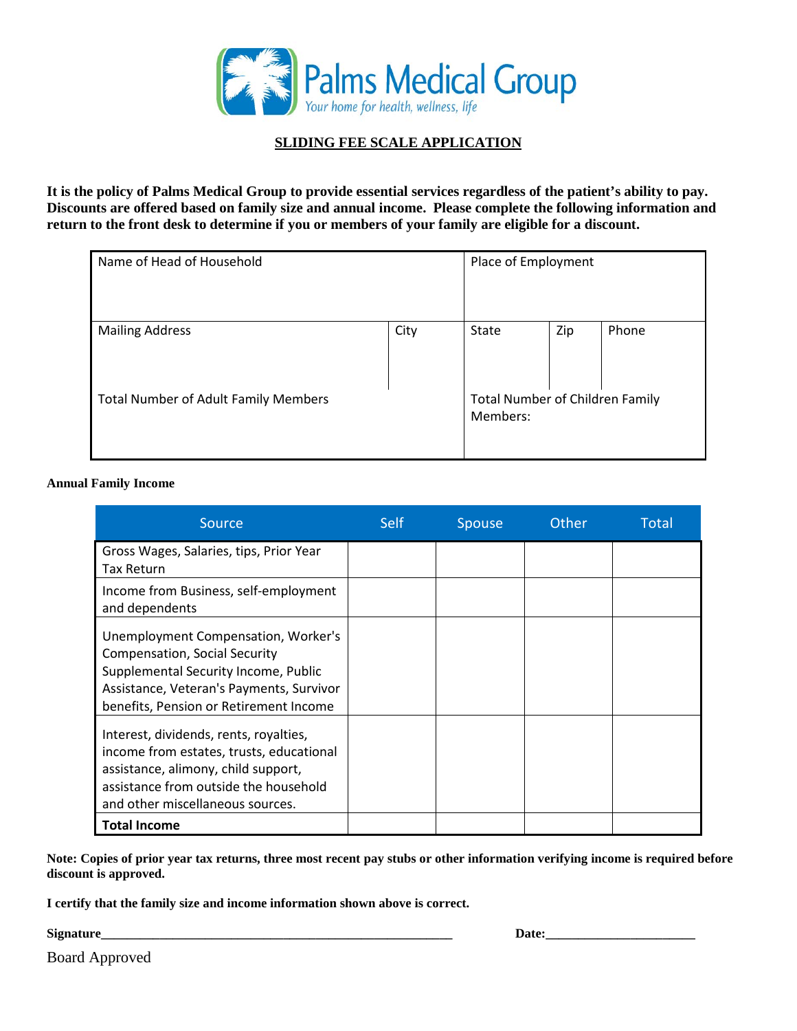

# **SLIDING FEE SCALE APPLICATION**

**It is the policy of Palms Medical Group to provide essential services regardless of the patient's ability to pay. Discounts are offered based on family size and annual income. Please complete the following information and return to the front desk to determine if you or members of your family are eligible for a discount.**

| Name of Head of Household                   |      | Place of Employment                                |     |       |
|---------------------------------------------|------|----------------------------------------------------|-----|-------|
| <b>Mailing Address</b>                      | City | State                                              | Zip | Phone |
| <b>Total Number of Adult Family Members</b> |      | <b>Total Number of Children Family</b><br>Members: |     |       |

#### **Annual Family Income**

| <b>Source</b>                                                                                                                                                                                             | <b>Self</b> | <b>Spouse</b> | Other | Total |
|-----------------------------------------------------------------------------------------------------------------------------------------------------------------------------------------------------------|-------------|---------------|-------|-------|
| Gross Wages, Salaries, tips, Prior Year<br><b>Tax Return</b>                                                                                                                                              |             |               |       |       |
| Income from Business, self-employment<br>and dependents                                                                                                                                                   |             |               |       |       |
| Unemployment Compensation, Worker's<br><b>Compensation, Social Security</b><br>Supplemental Security Income, Public<br>Assistance, Veteran's Payments, Survivor<br>benefits, Pension or Retirement Income |             |               |       |       |
| Interest, dividends, rents, royalties,<br>income from estates, trusts, educational<br>assistance, alimony, child support,<br>assistance from outside the household<br>and other miscellaneous sources.    |             |               |       |       |
| <b>Total Income</b>                                                                                                                                                                                       |             |               |       |       |

**Note: Copies of prior year tax returns, three most recent pay stubs or other information verifying income is required before discount is approved.** 

**I certify that the family size and income information shown above is correct.**

**Signature Date: Date: Date: Date: Date: Date: Date: Date: Date: Date: Date: Date: Date: Date: Date: Date: Date: Date: Date: Date: Date: Date: Date: Date: Date: Date: D** 

Board Approved